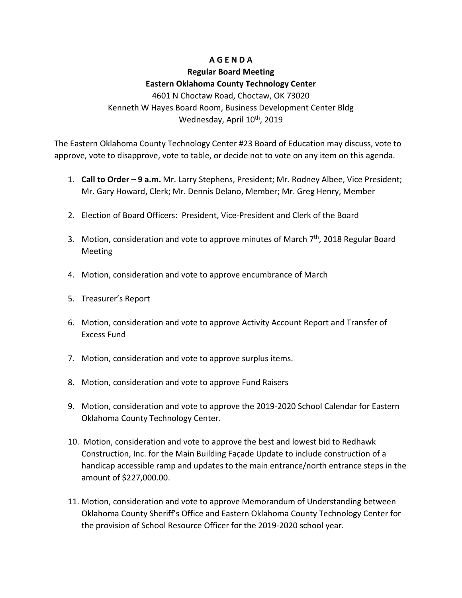## **A G E N D A**

## **Regular Board Meeting Eastern Oklahoma County Technology Center**

4601 N Choctaw Road, Choctaw, OK 73020 Kenneth W Hayes Board Room, Business Development Center Bldg Wednesday, April 10<sup>th</sup>, 2019

The Eastern Oklahoma County Technology Center #23 Board of Education may discuss, vote to approve, vote to disapprove, vote to table, or decide not to vote on any item on this agenda.

- 1. **Call to Order – 9 a.m.** Mr. Larry Stephens, President; Mr. Rodney Albee, Vice President; Mr. Gary Howard, Clerk; Mr. Dennis Delano, Member; Mr. Greg Henry, Member
- 2. Election of Board Officers: President, Vice-President and Clerk of the Board
- 3. Motion, consideration and vote to approve minutes of March  $7<sup>th</sup>$ , 2018 Regular Board Meeting
- 4. Motion, consideration and vote to approve encumbrance of March
- 5. Treasurer's Report
- 6. Motion, consideration and vote to approve Activity Account Report and Transfer of Excess Fund
- 7. Motion, consideration and vote to approve surplus items.
- 8. Motion, consideration and vote to approve Fund Raisers
- 9. Motion, consideration and vote to approve the 2019-2020 School Calendar for Eastern Oklahoma County Technology Center.
- 10. Motion, consideration and vote to approve the best and lowest bid to Redhawk Construction, Inc. for the Main Building Façade Update to include construction of a handicap accessible ramp and updates to the main entrance/north entrance steps in the amount of \$227,000.00.
- 11. Motion, consideration and vote to approve Memorandum of Understanding between Oklahoma County Sheriff's Office and Eastern Oklahoma County Technology Center for the provision of School Resource Officer for the 2019-2020 school year.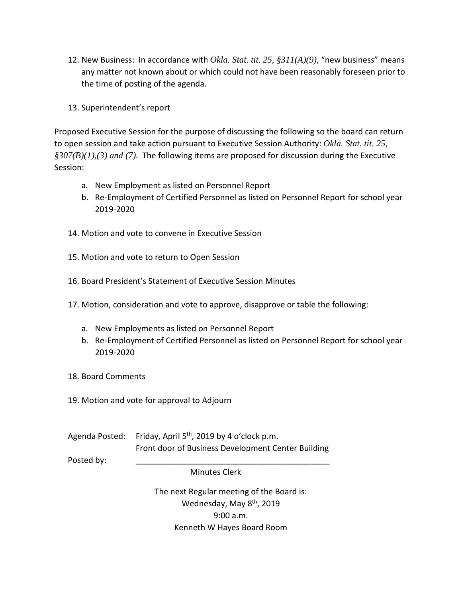- 12. New Business: In accordance with *Okla. Stat. tit. 25, §311(A)(9)*, "new business" means any matter not known about or which could not have been reasonably foreseen prior to the time of posting of the agenda.
- 13. Superintendent's report

Proposed Executive Session for the purpose of discussing the following so the board can return to open session and take action pursuant to Executive Session Authority: *Okla. Stat. tit. 25, §307(B)(1),(3) and (7).* The following items are proposed for discussion during the Executive Session:

- a. New Employment as listed on Personnel Report
- b. Re-Employment of Certified Personnel as listed on Personnel Report for school year 2019-2020
- 14. Motion and vote to convene in Executive Session
- 15. Motion and vote to return to Open Session
- 16. Board President's Statement of Executive Session Minutes
- 17. Motion, consideration and vote to approve, disapprove or table the following:
	- a. New Employments as listed on Personnel Report
	- b. Re-Employment of Certified Personnel as listed on Personnel Report for school year 2019-2020
- 18. Board Comments
- 19. Motion and vote for approval to Adjourn

Agenda Posted: Friday, April 5<sup>th</sup>, 2019 by 4 o'clock p.m. Front door of Business Development Center Building

Posted by:

Minutes Clerk

The next Regular meeting of the Board is: Wednesday, May 8<sup>th</sup>, 2019 9:00 a.m. Kenneth W Hayes Board Room